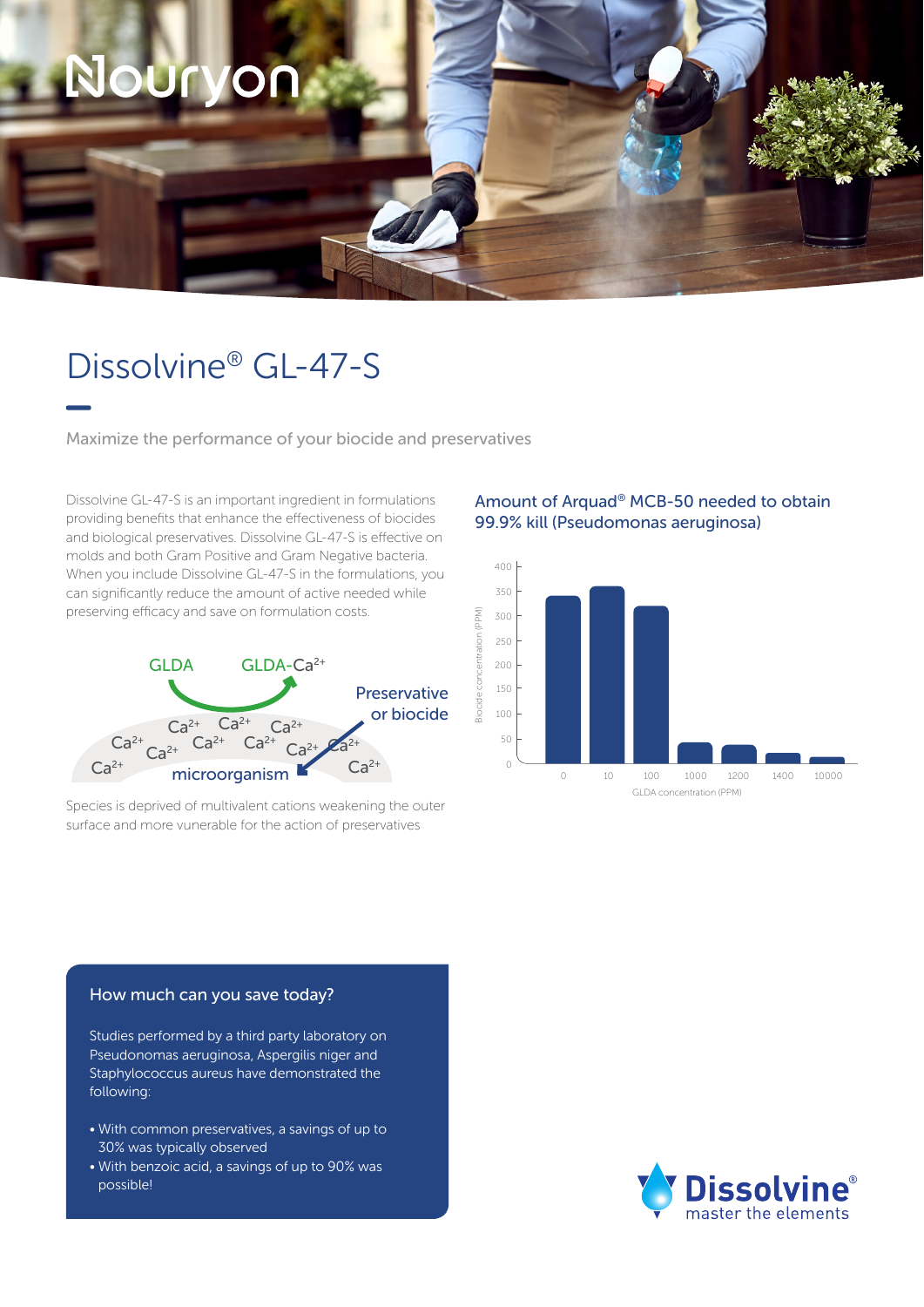# OUrv

### Dissolvine® GL-47-S

Maximize the performance of your biocide and preservatives

Dissolvine GL-47-S is an important ingredient in formulations providing benefits that enhance the effectiveness of biocides and biological preservatives. Dissolvine GL-47-S is effective on molds and both Gram Positive and Gram Negative bacteria. When you include Dissolvine GL-47-S in the formulations, you can significantly reduce the amount of active needed while preserving efficacy and save on formulation costs.



Species is deprived of multivalent cations weakening the outer surface and more vunerable for the action of preservatives

#### Amount of Arquad® MCB-50 needed to obtain 99.9% kill (Pseudomonas aeruginosa)



#### How much can you save today?

Studies performed by a third party laboratory on Pseudonomas aeruginosa, Aspergilis niger and Staphylococcus aureus have demonstrated the following:

- With common preservatives, a savings of up to 30% was typically observed
- With benzoic acid, a savings of up to 90% was possible!